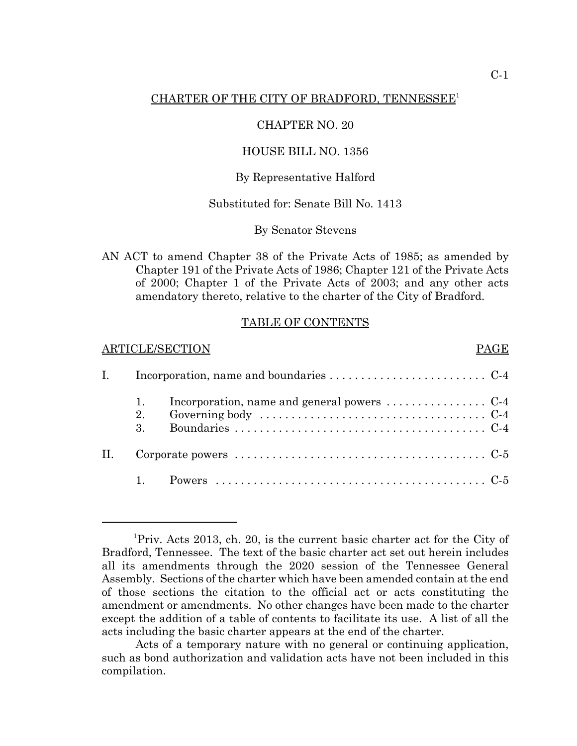# CHARTER OF THE CITY OF BRADFORD, TENNESSEE<sup>1</sup>

# CHAPTER NO. 20

## HOUSE BILL NO. 1356

# By Representative Halford

# Substituted for: Senate Bill No. 1413

#### By Senator Stevens

AN ACT to amend Chapter 38 of the Private Acts of 1985; as amended by Chapter 191 of the Private Acts of 1986; Chapter 121 of the Private Acts of 2000; Chapter 1 of the Private Acts of 2003; and any other acts amendatory thereto, relative to the charter of the City of Bradford.

#### TABLE OF CONTENTS

#### ARTICLE/SECTION PAGE

|  | 2.<br>3. | Incorporation, name and general powers $\dots\dots\dots\dots\dots\dots$ |  |  |
|--|----------|-------------------------------------------------------------------------|--|--|
|  |          |                                                                         |  |  |
|  |          |                                                                         |  |  |

<sup>&</sup>lt;sup>1</sup>Priv. Acts 2013, ch. 20, is the current basic charter act for the City of Bradford, Tennessee. The text of the basic charter act set out herein includes all its amendments through the 2020 session of the Tennessee General Assembly. Sections of the charter which have been amended contain at the end of those sections the citation to the official act or acts constituting the amendment or amendments. No other changes have been made to the charter except the addition of a table of contents to facilitate its use. A list of all the acts including the basic charter appears at the end of the charter.

Acts of a temporary nature with no general or continuing application, such as bond authorization and validation acts have not been included in this compilation.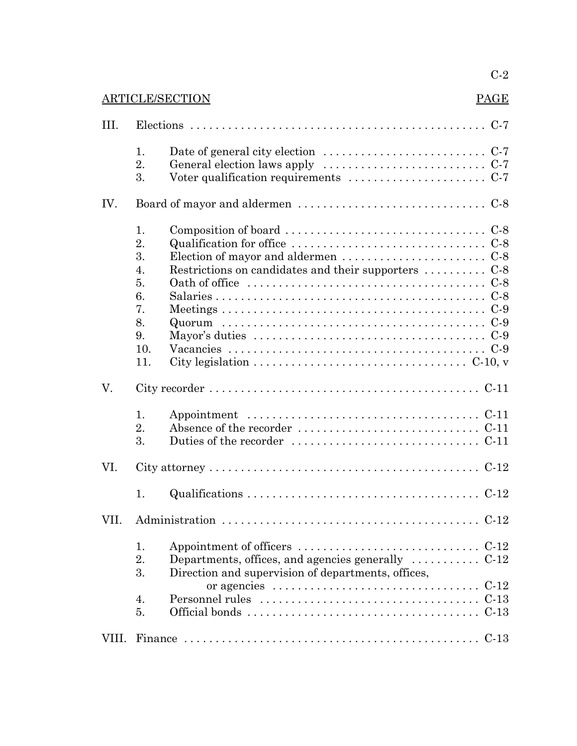# C-2

# ARTICLE/SECTION PAGE

|--|--|

| III.  |                                                                                                                                                                                                                                                                                                                                                                                                                                                                                                                 |  |  |  |
|-------|-----------------------------------------------------------------------------------------------------------------------------------------------------------------------------------------------------------------------------------------------------------------------------------------------------------------------------------------------------------------------------------------------------------------------------------------------------------------------------------------------------------------|--|--|--|
|       | Date of general city election $\dots \dots \dots \dots \dots \dots \dots \dots \dots$<br>1.<br>2.<br>3.                                                                                                                                                                                                                                                                                                                                                                                                         |  |  |  |
| IV.   |                                                                                                                                                                                                                                                                                                                                                                                                                                                                                                                 |  |  |  |
|       | Composition of board $\dots \dots \dots \dots \dots \dots \dots \dots \dots \dots \dots$<br>1.<br>2.<br>3.<br>Election of mayor and aldermen $\dots \dots \dots \dots \dots \dots \dots$<br>Restrictions on candidates and their supporters  C-8<br>4.<br>5.<br>6.<br>7.<br>8.<br>9.<br>Mayor's duties $\dots \dots \dots \dots \dots \dots \dots \dots \dots \dots \dots \dots \dots$<br>10.<br>11.<br>City legislation $\ldots \ldots \ldots \ldots \ldots \ldots \ldots \ldots \ldots \ldots \ldots$ C-10, v |  |  |  |
| V.    |                                                                                                                                                                                                                                                                                                                                                                                                                                                                                                                 |  |  |  |
|       | 1.<br>2.<br>3.<br>Duties of the recorder $\dots \dots \dots \dots \dots \dots \dots \dots \dots$ . C-11                                                                                                                                                                                                                                                                                                                                                                                                         |  |  |  |
| VI.   |                                                                                                                                                                                                                                                                                                                                                                                                                                                                                                                 |  |  |  |
|       | 1.                                                                                                                                                                                                                                                                                                                                                                                                                                                                                                              |  |  |  |
| VII.  |                                                                                                                                                                                                                                                                                                                                                                                                                                                                                                                 |  |  |  |
|       | 1.<br>Appointment of officers $\dots \dots \dots \dots \dots \dots \dots \dots \dots$ . C-12<br>Departments, offices, and agencies generally $\dots \dots \dots$ C-12<br>2.<br>3.<br>Direction and supervision of departments, offices,<br>or agencies $\dots \dots \dots \dots \dots \dots \dots \dots \dots \dots \dots$ . C-12<br>4.<br>5.                                                                                                                                                                   |  |  |  |
| VIII. |                                                                                                                                                                                                                                                                                                                                                                                                                                                                                                                 |  |  |  |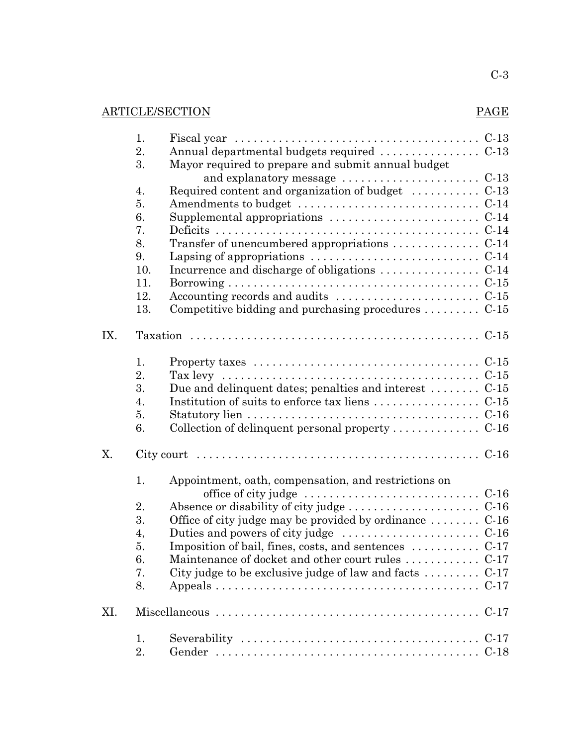# ARTICLE/SECTION PAGE

|     | 1.  | Fiscal year $\ldots \ldots \ldots \ldots \ldots \ldots \ldots \ldots \ldots \ldots \ldots \ldots$          |  |  |
|-----|-----|------------------------------------------------------------------------------------------------------------|--|--|
|     | 2.  | Annual departmental budgets required  C-13                                                                 |  |  |
|     | 3.  | Mayor required to prepare and submit annual budget                                                         |  |  |
|     |     |                                                                                                            |  |  |
|     | 4.  | Required content and organization of budget  C-13                                                          |  |  |
|     | 5.  | Amendments to budget $\dots\dots\dots\dots\dots\dots\dots\dots\dots\dots$                                  |  |  |
|     | 6.  |                                                                                                            |  |  |
|     | 7.  |                                                                                                            |  |  |
|     | 8.  |                                                                                                            |  |  |
|     | 9.  | Lapsing of appropriations $\dots \dots \dots \dots \dots \dots \dots \dots$ . C-14                         |  |  |
|     | 10. |                                                                                                            |  |  |
|     | 11. |                                                                                                            |  |  |
|     | 12. | Accounting records and audits $\dots \dots \dots \dots \dots \dots \dots$                                  |  |  |
|     | 13. | Competitive bidding and purchasing procedures $\dots \dots \dots$ C-15                                     |  |  |
| IX. |     |                                                                                                            |  |  |
|     | 1.  |                                                                                                            |  |  |
|     | 2.  | Tax levy $\dots \dots \dots \dots \dots \dots \dots \dots \dots \dots \dots \dots \dots \dots \dots \dots$ |  |  |
|     | 3.  | Due and delinquent dates; penalties and interest $C-15$                                                    |  |  |
|     | 4.  |                                                                                                            |  |  |
|     | 5.  |                                                                                                            |  |  |
|     | 6.  | Collection of delinquent personal property $\dots \dots \dots \dots$ C-16                                  |  |  |
| Х.  |     |                                                                                                            |  |  |
|     | 1.  | Appointment, oath, compensation, and restrictions on                                                       |  |  |
|     |     | office of city judge $\dots \dots \dots \dots \dots \dots \dots \dots \dots$ . C-16                        |  |  |
|     | 2.  | Absence or disability of city judge $\dots \dots \dots \dots \dots \dots$ . C-16                           |  |  |
|     | 3.  | Office of city judge may be provided by ordinance $\dots \dots$ C-16                                       |  |  |
|     | 4,  | Duties and powers of city judge $\dots \dots \dots \dots \dots \dots \dots$                                |  |  |
|     | 5.  | Imposition of bail, fines, costs, and sentences $\dots \dots \dots$ C-17                                   |  |  |
|     | 6.  | Maintenance of docket and other court rules  C-17                                                          |  |  |
|     | 7.  | City judge to be exclusive judge of law and facts $\dots \dots$ . C-17                                     |  |  |
|     | 8.  |                                                                                                            |  |  |
| XI. |     |                                                                                                            |  |  |
|     | 1.  |                                                                                                            |  |  |
|     | 2.  |                                                                                                            |  |  |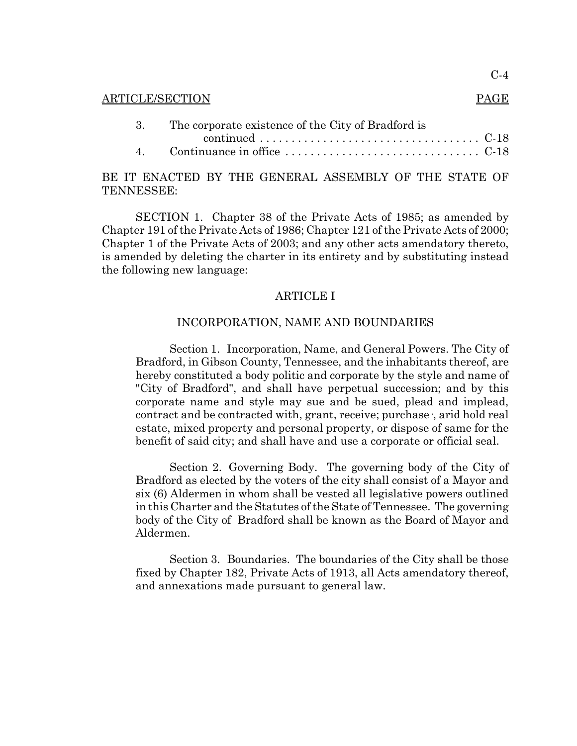|  | ARTICLE/SECTION                                       | <b>PAGE</b> |
|--|-------------------------------------------------------|-------------|
|  | 3. The corporate existence of the City of Bradford is |             |
|  |                                                       |             |
|  | LOWER BY WILD CHAIRDLE LOOPLIBITY OF WILD OWLER OF    |             |

# BE IT ENACTED BY THE GENERAL ASSEMBLY OF THE STATE OF TENNESSEE:

SECTION 1. Chapter 38 of the Private Acts of 1985; as amended by Chapter 191 of the Private Acts of 1986; Chapter 121 of the Private Acts of 2000; Chapter 1 of the Private Acts of 2003; and any other acts amendatory thereto, is amended by deleting the charter in its entirety and by substituting instead the following new language:

# ARTICLE I

## INCORPORATION, NAME AND BOUNDARIES

Section 1. Incorporation, Name, and General Powers. The City of Bradford, in Gibson County, Tennessee, and the inhabitants thereof, are hereby constituted a body politic and corporate by the style and name of "City of Bradford", and shall have perpetual succession; and by this corporate name and style may sue and be sued, plead and implead, contract and be contracted with, grant, receive; purchase·, arid hold real estate, mixed property and personal property, or dispose of same for the benefit of said city; and shall have and use a corporate or official seal.

Section 2. Governing Body. The governing body of the City of Bradford as elected by the voters of the city shall consist of a Mayor and six (6) Aldermen in whom shall be vested all legislative powers outlined in this Charter and the Statutes of the State of Tennessee. The governing body of the City of Bradford shall be known as the Board of Mayor and Aldermen.

Section 3. Boundaries. The boundaries of the City shall be those fixed by Chapter 182, Private Acts of 1913, all Acts amendatory thereof, and annexations made pursuant to general law.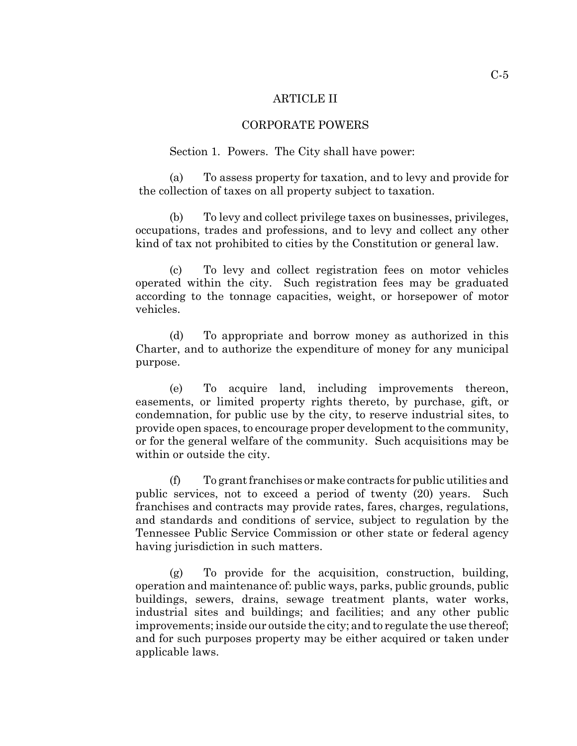#### ARTICLE II

#### CORPORATE POWERS

Section 1. Powers. The City shall have power:

(a) To assess property for taxation, and to levy and provide for the collection of taxes on all property subject to taxation.

(b) To levy and collect privilege taxes on businesses, privileges, occupations, trades and professions, and to levy and collect any other kind of tax not prohibited to cities by the Constitution or general law.

(c) To levy and collect registration fees on motor vehicles operated within the city. Such registration fees may be graduated according to the tonnage capacities, weight, or horsepower of motor vehicles.

(d) To appropriate and borrow money as authorized in this Charter, and to authorize the expenditure of money for any municipal purpose.

(e) To acquire land, including improvements thereon, easements, or limited property rights thereto, by purchase, gift, or condemnation, for public use by the city, to reserve industrial sites, to provide open spaces, to encourage proper development to the community, or for the general welfare of the community. Such acquisitions may be within or outside the city.

(f) To grant franchises or make contracts for public utilities and public services, not to exceed a period of twenty (20) years. Such franchises and contracts may provide rates, fares, charges, regulations, and standards and conditions of service, subject to regulation by the Tennessee Public Service Commission or other state or federal agency having jurisdiction in such matters.

(g) To provide for the acquisition, construction, building, operation and maintenance of: public ways, parks, public grounds, public buildings, sewers, drains, sewage treatment plants, water works, industrial sites and buildings; and facilities; and any other public improvements; inside our outside the city; and to regulate the use thereof; and for such purposes property may be either acquired or taken under applicable laws.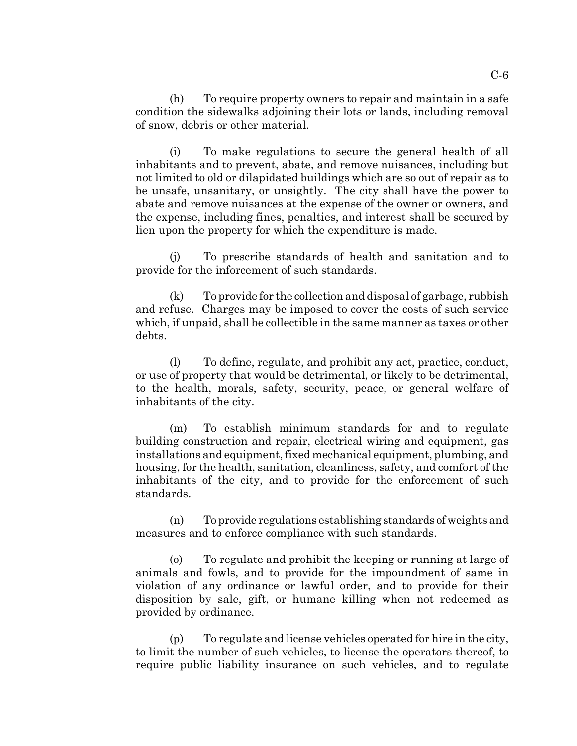(h) To require property owners to repair and maintain in a safe condition the sidewalks adjoining their lots or lands, including removal of snow, debris or other material.

(i) To make regulations to secure the general health of all inhabitants and to prevent, abate, and remove nuisances, including but not limited to old or dilapidated buildings which are so out of repair as to be unsafe, unsanitary, or unsightly. The city shall have the power to abate and remove nuisances at the expense of the owner or owners, and the expense, including fines, penalties, and interest shall be secured by lien upon the property for which the expenditure is made.

(j) To prescribe standards of health and sanitation and to provide for the inforcement of such standards.

(k) To provide for the collection and disposal of garbage, rubbish and refuse. Charges may be imposed to cover the costs of such service which, if unpaid, shall be collectible in the same manner as taxes or other debts.

(l) To define, regulate, and prohibit any act, practice, conduct, or use of property that would be detrimental, or likely to be detrimental, to the health, morals, safety, security, peace, or general welfare of inhabitants of the city.

(m) To establish minimum standards for and to regulate building construction and repair, electrical wiring and equipment, gas installations and equipment, fixed mechanical equipment, plumbing, and housing, for the health, sanitation, cleanliness, safety, and comfort of the inhabitants of the city, and to provide for the enforcement of such standards.

(n) To provide regulations establishing standards of weights and measures and to enforce compliance with such standards.

(o) To regulate and prohibit the keeping or running at large of animals and fowls, and to provide for the impoundment of same in violation of any ordinance or lawful order, and to provide for their disposition by sale, gift, or humane killing when not redeemed as provided by ordinance.

(p) To regulate and license vehicles operated for hire in the city, to limit the number of such vehicles, to license the operators thereof, to require public liability insurance on such vehicles, and to regulate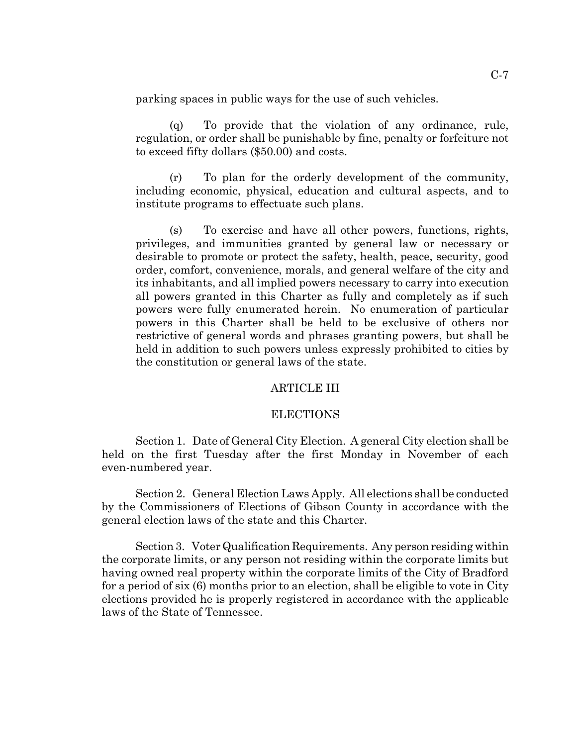parking spaces in public ways for the use of such vehicles.

(q) To provide that the violation of any ordinance, rule, regulation, or order shall be punishable by fine, penalty or forfeiture not to exceed fifty dollars (\$50.00) and costs.

(r) To plan for the orderly development of the community, including economic, physical, education and cultural aspects, and to institute programs to effectuate such plans.

(s) To exercise and have all other powers, functions, rights, privileges, and immunities granted by general law or necessary or desirable to promote or protect the safety, health, peace, security, good order, comfort, convenience, morals, and general welfare of the city and its inhabitants, and all implied powers necessary to carry into execution all powers granted in this Charter as fully and completely as if such powers were fully enumerated herein. No enumeration of particular powers in this Charter shall be held to be exclusive of others nor restrictive of general words and phrases granting powers, but shall be held in addition to such powers unless expressly prohibited to cities by the constitution or general laws of the state.

# ARTICLE III

### ELECTIONS

Section 1. Date of General City Election. A general City election shall be held on the first Tuesday after the first Monday in November of each even-numbered year.

Section 2. General Election Laws Apply. All elections shall be conducted by the Commissioners of Elections of Gibson County in accordance with the general election laws of the state and this Charter.

Section 3. Voter Qualification Requirements. Any person residing within the corporate limits, or any person not residing within the corporate limits but having owned real property within the corporate limits of the City of Bradford for a period of six (6) months prior to an election, shall be eligible to vote in City elections provided he is properly registered in accordance with the applicable laws of the State of Tennessee.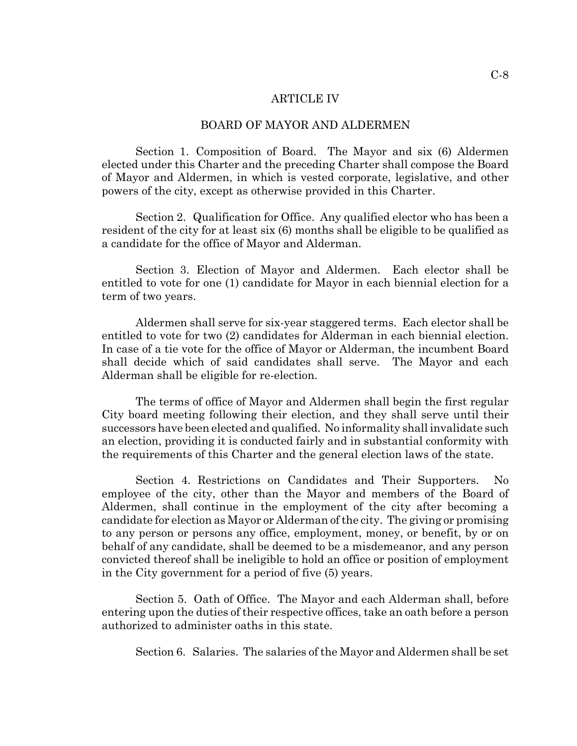#### ARTICLE IV

#### BOARD OF MAYOR AND ALDERMEN

Section 1. Composition of Board. The Mayor and six (6) Aldermen elected under this Charter and the preceding Charter shall compose the Board of Mayor and Aldermen, in which is vested corporate, legislative, and other powers of the city, except as otherwise provided in this Charter.

Section 2. Qualification for Office. Any qualified elector who has been a resident of the city for at least six (6) months shall be eligible to be qualified as a candidate for the office of Mayor and Alderman.

Section 3. Election of Mayor and Aldermen. Each elector shall be entitled to vote for one (1) candidate for Mayor in each biennial election for a term of two years.

Aldermen shall serve for six-year staggered terms. Each elector shall be entitled to vote for two (2) candidates for Alderman in each biennial election. In case of a tie vote for the office of Mayor or Alderman, the incumbent Board shall decide which of said candidates shall serve. The Mayor and each Alderman shall be eligible for re-election.

The terms of office of Mayor and Aldermen shall begin the first regular City board meeting following their election, and they shall serve until their successors have been elected and qualified. No informality shall invalidate such an election, providing it is conducted fairly and in substantial conformity with the requirements of this Charter and the general election laws of the state.

Section 4. Restrictions on Candidates and Their Supporters. No employee of the city, other than the Mayor and members of the Board of Aldermen, shall continue in the employment of the city after becoming a candidate for election as Mayor or Alderman of the city. The giving or promising to any person or persons any office, employment, money, or benefit, by or on behalf of any candidate, shall be deemed to be a misdemeanor, and any person convicted thereof shall be ineligible to hold an office or position of employment in the City government for a period of five (5) years.

Section 5. Oath of Office. The Mayor and each Alderman shall, before entering upon the duties of their respective offices, take an oath before a person authorized to administer oaths in this state.

Section 6. Salaries. The salaries of the Mayor and Aldermen shall be set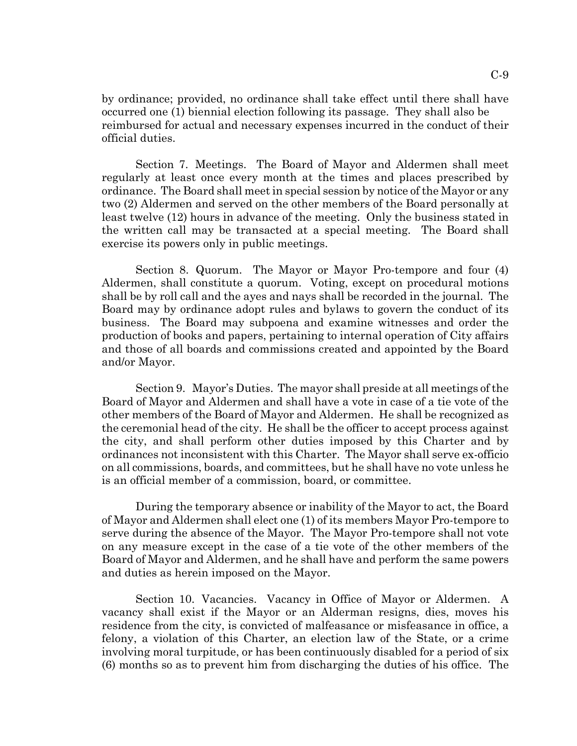by ordinance; provided, no ordinance shall take effect until there shall have occurred one (1) biennial election following its passage. They shall also be reimbursed for actual and necessary expenses incurred in the conduct of their official duties.

Section 7. Meetings. The Board of Mayor and Aldermen shall meet regularly at least once every month at the times and places prescribed by ordinance. The Board shall meet in special session by notice of the Mayor or any two (2) Aldermen and served on the other members of the Board personally at least twelve (12) hours in advance of the meeting. Only the business stated in the written call may be transacted at a special meeting. The Board shall exercise its powers only in public meetings.

Section 8. Quorum. The Mayor or Mayor Pro-tempore and four (4) Aldermen, shall constitute a quorum. Voting, except on procedural motions shall be by roll call and the ayes and nays shall be recorded in the journal. The Board may by ordinance adopt rules and bylaws to govern the conduct of its business. The Board may subpoena and examine witnesses and order the production of books and papers, pertaining to internal operation of City affairs and those of all boards and commissions created and appointed by the Board and/or Mayor.

Section 9. Mayor's Duties. The mayor shall preside at all meetings of the Board of Mayor and Aldermen and shall have a vote in case of a tie vote of the other members of the Board of Mayor and Aldermen. He shall be recognized as the ceremonial head of the city. He shall be the officer to accept process against the city, and shall perform other duties imposed by this Charter and by ordinances not inconsistent with this Charter. The Mayor shall serve ex-officio on all commissions, boards, and committees, but he shall have no vote unless he is an official member of a commission, board, or committee.

During the temporary absence or inability of the Mayor to act, the Board of Mayor and Aldermen shall elect one (1) of its members Mayor Pro-tempore to serve during the absence of the Mayor. The Mayor Pro-tempore shall not vote on any measure except in the case of a tie vote of the other members of the Board of Mayor and Aldermen, and he shall have and perform the same powers and duties as herein imposed on the Mayor.

Section 10. Vacancies. Vacancy in Office of Mayor or Aldermen. A vacancy shall exist if the Mayor or an Alderman resigns, dies, moves his residence from the city, is convicted of malfeasance or misfeasance in office, a felony, a violation of this Charter, an election law of the State, or a crime involving moral turpitude, or has been continuously disabled for a period of six (6) months so as to prevent him from discharging the duties of his office. The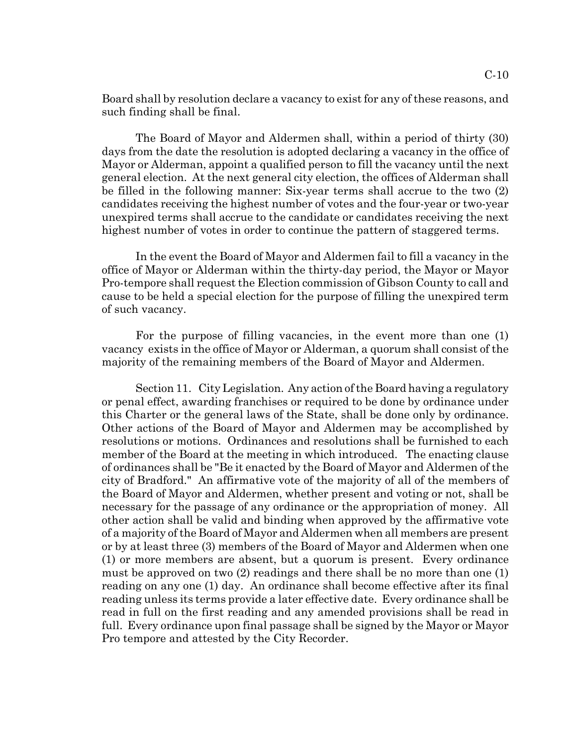Board shall by resolution declare a vacancy to exist for any of these reasons, and such finding shall be final.

The Board of Mayor and Aldermen shall, within a period of thirty (30) days from the date the resolution is adopted declaring a vacancy in the office of Mayor or Alderman, appoint a qualified person to fill the vacancy until the next general election. At the next general city election, the offices of Alderman shall be filled in the following manner: Six-year terms shall accrue to the two (2) candidates receiving the highest number of votes and the four-year or two-year unexpired terms shall accrue to the candidate or candidates receiving the next highest number of votes in order to continue the pattern of staggered terms.

In the event the Board of Mayor and Aldermen fail to fill a vacancy in the office of Mayor or Alderman within the thirty-day period, the Mayor or Mayor Pro-tempore shall request the Election commission of Gibson County to call and cause to be held a special election for the purpose of filling the unexpired term of such vacancy.

For the purpose of filling vacancies, in the event more than one (1) vacancy exists in the office of Mayor or Alderman, a quorum shall consist of the majority of the remaining members of the Board of Mayor and Aldermen.

Section 11. City Legislation. Any action of the Board having a regulatory or penal effect, awarding franchises or required to be done by ordinance under this Charter or the general laws of the State, shall be done only by ordinance. Other actions of the Board of Mayor and Aldermen may be accomplished by resolutions or motions. Ordinances and resolutions shall be furnished to each member of the Board at the meeting in which introduced. The enacting clause of ordinances shall be "Be it enacted by the Board of Mayor and Aldermen of the city of Bradford." An affirmative vote of the majority of all of the members of the Board of Mayor and Aldermen, whether present and voting or not, shall be necessary for the passage of any ordinance or the appropriation of money. All other action shall be valid and binding when approved by the affirmative vote of a majority of the Board of Mayor and Aldermen when all members are present or by at least three (3) members of the Board of Mayor and Aldermen when one (1) or more members are absent, but a quorum is present. Every ordinance must be approved on two (2) readings and there shall be no more than one (1) reading on any one (1) day. An ordinance shall become effective after its final reading unless its terms provide a later effective date. Every ordinance shall be read in full on the first reading and any amended provisions shall be read in full. Every ordinance upon final passage shall be signed by the Mayor or Mayor Pro tempore and attested by the City Recorder.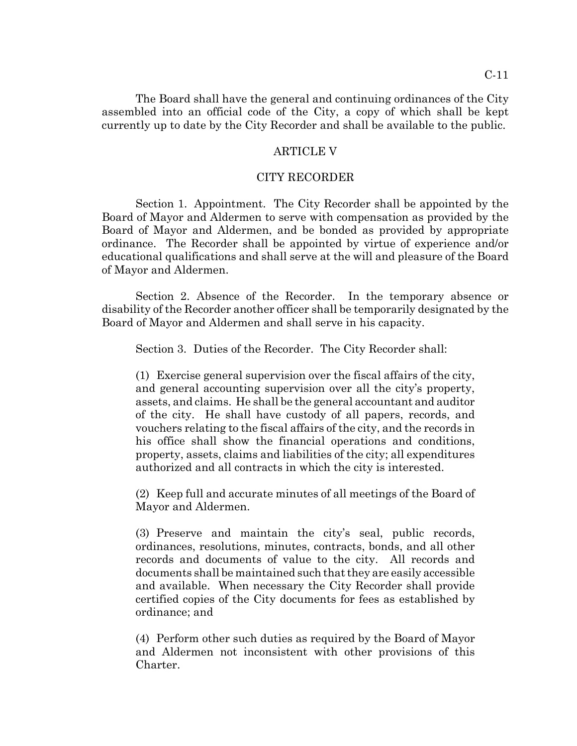The Board shall have the general and continuing ordinances of the City assembled into an official code of the City, a copy of which shall be kept currently up to date by the City Recorder and shall be available to the public.

#### ARTICLE V

#### CITY RECORDER

Section 1. Appointment. The City Recorder shall be appointed by the Board of Mayor and Aldermen to serve with compensation as provided by the Board of Mayor and Aldermen, and be bonded as provided by appropriate ordinance. The Recorder shall be appointed by virtue of experience and/or educational qualifications and shall serve at the will and pleasure of the Board of Mayor and Aldermen.

Section 2. Absence of the Recorder. In the temporary absence or disability of the Recorder another officer shall be temporarily designated by the Board of Mayor and Aldermen and shall serve in his capacity.

Section 3. Duties of the Recorder. The City Recorder shall:

(1) Exercise general supervision over the fiscal affairs of the city, and general accounting supervision over all the city's property, assets, and claims. He shall be the general accountant and auditor of the city. He shall have custody of all papers, records, and vouchers relating to the fiscal affairs of the city, and the records in his office shall show the financial operations and conditions, property, assets, claims and liabilities of the city; all expenditures authorized and all contracts in which the city is interested.

(2) Keep full and accurate minutes of all meetings of the Board of Mayor and Aldermen.

(3) Preserve and maintain the city's seal, public records, ordinances, resolutions, minutes, contracts, bonds, and all other records and documents of value to the city. All records and documents shall be maintained such that they are easily accessible and available. When necessary the City Recorder shall provide certified copies of the City documents for fees as established by ordinance; and

(4) Perform other such duties as required by the Board of Mayor and Aldermen not inconsistent with other provisions of this Charter.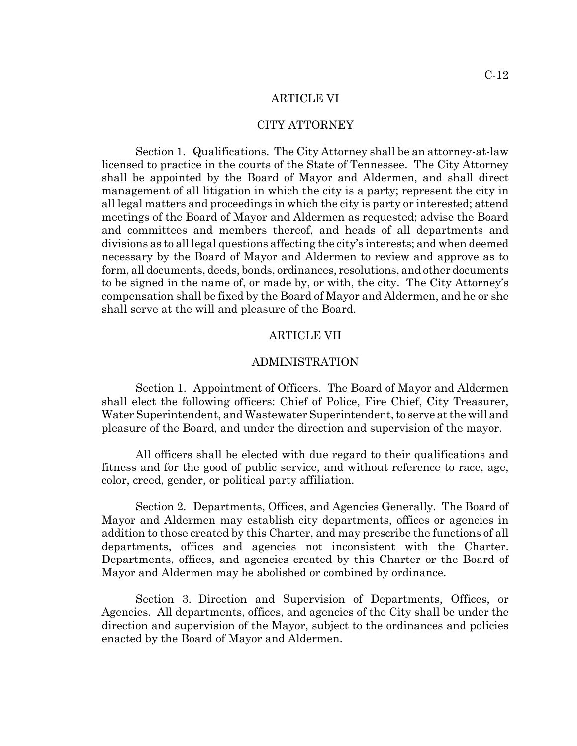#### ARTICLE VI

#### CITY ATTORNEY

Section 1. Qualifications. The City Attorney shall be an attorney-at-law licensed to practice in the courts of the State of Tennessee. The City Attorney shall be appointed by the Board of Mayor and Aldermen, and shall direct management of all litigation in which the city is a party; represent the city in all legal matters and proceedings in which the city is party or interested; attend meetings of the Board of Mayor and Aldermen as requested; advise the Board and committees and members thereof, and heads of all departments and divisions as to all legal questions affecting the city's interests; and when deemed necessary by the Board of Mayor and Aldermen to review and approve as to form, all documents, deeds, bonds, ordinances, resolutions, and other documents to be signed in the name of, or made by, or with, the city. The City Attorney's compensation shall be fixed by the Board of Mayor and Aldermen, and he or she shall serve at the will and pleasure of the Board.

#### ARTICLE VII

### ADMINISTRATION

Section 1. Appointment of Officers. The Board of Mayor and Aldermen shall elect the following officers: Chief of Police, Fire Chief, City Treasurer, Water Superintendent, and Wastewater Superintendent, to serve at the will and pleasure of the Board, and under the direction and supervision of the mayor.

All officers shall be elected with due regard to their qualifications and fitness and for the good of public service, and without reference to race, age, color, creed, gender, or political party affiliation.

Section 2. Departments, Offices, and Agencies Generally. The Board of Mayor and Aldermen may establish city departments, offices or agencies in addition to those created by this Charter, and may prescribe the functions of all departments, offices and agencies not inconsistent with the Charter. Departments, offices, and agencies created by this Charter or the Board of Mayor and Aldermen may be abolished or combined by ordinance.

Section 3. Direction and Supervision of Departments, Offices, or Agencies. All departments, offices, and agencies of the City shall be under the direction and supervision of the Mayor, subject to the ordinances and policies enacted by the Board of Mayor and Aldermen.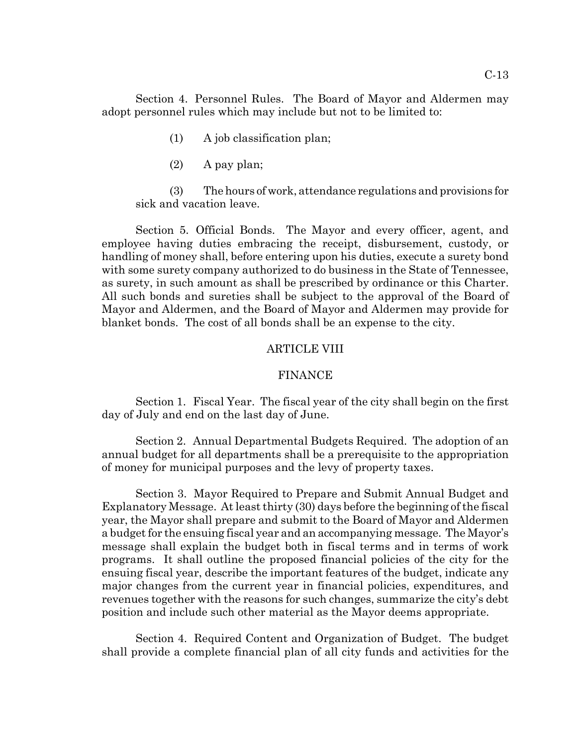Section 4. Personnel Rules. The Board of Mayor and Aldermen may adopt personnel rules which may include but not to be limited to:

- (1) A job classification plan;
- (2) A pay plan;

(3) The hours of work, attendance regulations and provisions for sick and vacation leave.

Section 5. Official Bonds. The Mayor and every officer, agent, and employee having duties embracing the receipt, disbursement, custody, or handling of money shall, before entering upon his duties, execute a surety bond with some surety company authorized to do business in the State of Tennessee, as surety, in such amount as shall be prescribed by ordinance or this Charter. All such bonds and sureties shall be subject to the approval of the Board of Mayor and Aldermen, and the Board of Mayor and Aldermen may provide for blanket bonds. The cost of all bonds shall be an expense to the city.

# ARTICLE VIII

#### FINANCE

Section 1. Fiscal Year. The fiscal year of the city shall begin on the first day of July and end on the last day of June.

Section 2. Annual Departmental Budgets Required. The adoption of an annual budget for all departments shall be a prerequisite to the appropriation of money for municipal purposes and the levy of property taxes.

Section 3. Mayor Required to Prepare and Submit Annual Budget and Explanatory Message. At least thirty (30) days before the beginning of the fiscal year, the Mayor shall prepare and submit to the Board of Mayor and Aldermen a budget for the ensuing fiscal year and an accompanying message. The Mayor's message shall explain the budget both in fiscal terms and in terms of work programs. It shall outline the proposed financial policies of the city for the ensuing fiscal year, describe the important features of the budget, indicate any major changes from the current year in financial policies, expenditures, and revenues together with the reasons for such changes, summarize the city's debt position and include such other material as the Mayor deems appropriate.

Section 4. Required Content and Organization of Budget. The budget shall provide a complete financial plan of all city funds and activities for the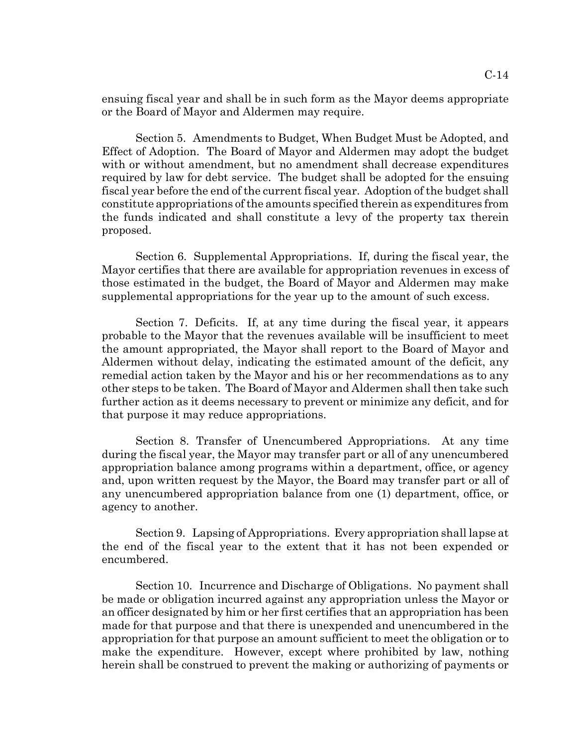ensuing fiscal year and shall be in such form as the Mayor deems appropriate or the Board of Mayor and Aldermen may require.

Section 5. Amendments to Budget, When Budget Must be Adopted, and Effect of Adoption. The Board of Mayor and Aldermen may adopt the budget with or without amendment, but no amendment shall decrease expenditures required by law for debt service. The budget shall be adopted for the ensuing fiscal year before the end of the current fiscal year. Adoption of the budget shall constitute appropriations of the amounts specified therein as expenditures from the funds indicated and shall constitute a levy of the property tax therein proposed.

Section 6. Supplemental Appropriations. If, during the fiscal year, the Mayor certifies that there are available for appropriation revenues in excess of those estimated in the budget, the Board of Mayor and Aldermen may make supplemental appropriations for the year up to the amount of such excess.

Section 7. Deficits. If, at any time during the fiscal year, it appears probable to the Mayor that the revenues available will be insufficient to meet the amount appropriated, the Mayor shall report to the Board of Mayor and Aldermen without delay, indicating the estimated amount of the deficit, any remedial action taken by the Mayor and his or her recommendations as to any other steps to be taken. The Board of Mayor and Aldermen shall then take such further action as it deems necessary to prevent or minimize any deficit, and for that purpose it may reduce appropriations.

Section 8. Transfer of Unencumbered Appropriations. At any time during the fiscal year, the Mayor may transfer part or all of any unencumbered appropriation balance among programs within a department, office, or agency and, upon written request by the Mayor, the Board may transfer part or all of any unencumbered appropriation balance from one (1) department, office, or agency to another.

Section 9. Lapsing of Appropriations. Every appropriation shall lapse at the end of the fiscal year to the extent that it has not been expended or encumbered.

Section 10. Incurrence and Discharge of Obligations. No payment shall be made or obligation incurred against any appropriation unless the Mayor or an officer designated by him or her first certifies that an appropriation has been made for that purpose and that there is unexpended and unencumbered in the appropriation for that purpose an amount sufficient to meet the obligation or to make the expenditure. However, except where prohibited by law, nothing herein shall be construed to prevent the making or authorizing of payments or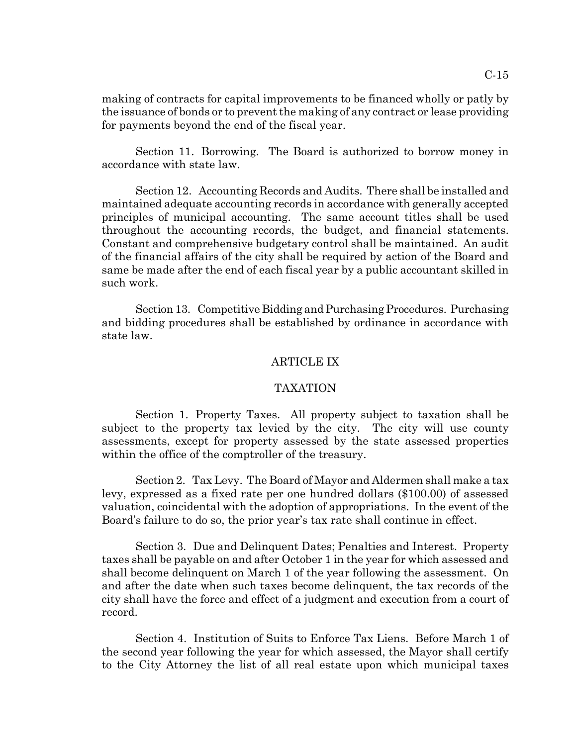making of contracts for capital improvements to be financed wholly or patly by the issuance of bonds or to prevent the making of any contract or lease providing for payments beyond the end of the fiscal year.

Section 11. Borrowing. The Board is authorized to borrow money in accordance with state law.

Section 12. Accounting Records and Audits. There shall be installed and maintained adequate accounting records in accordance with generally accepted principles of municipal accounting. The same account titles shall be used throughout the accounting records, the budget, and financial statements. Constant and comprehensive budgetary control shall be maintained. An audit of the financial affairs of the city shall be required by action of the Board and same be made after the end of each fiscal year by a public accountant skilled in such work.

Section 13. Competitive Bidding and Purchasing Procedures. Purchasing and bidding procedures shall be established by ordinance in accordance with state law.

#### ARTICLE IX

#### TAXATION

Section 1. Property Taxes. All property subject to taxation shall be subject to the property tax levied by the city. The city will use county assessments, except for property assessed by the state assessed properties within the office of the comptroller of the treasury.

Section 2. Tax Levy. The Board of Mayor and Aldermen shall make a tax levy, expressed as a fixed rate per one hundred dollars (\$100.00) of assessed valuation, coincidental with the adoption of appropriations. In the event of the Board's failure to do so, the prior year's tax rate shall continue in effect.

Section 3. Due and Delinquent Dates; Penalties and Interest. Property taxes shall be payable on and after October 1 in the year for which assessed and shall become delinquent on March 1 of the year following the assessment. On and after the date when such taxes become delinquent, the tax records of the city shall have the force and effect of a judgment and execution from a court of record.

Section 4. Institution of Suits to Enforce Tax Liens. Before March 1 of the second year following the year for which assessed, the Mayor shall certify to the City Attorney the list of all real estate upon which municipal taxes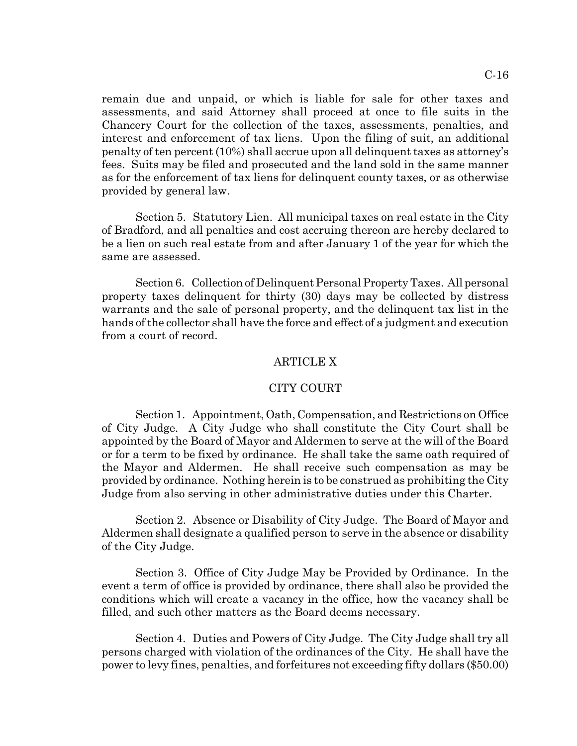C-16

remain due and unpaid, or which is liable for sale for other taxes and assessments, and said Attorney shall proceed at once to file suits in the Chancery Court for the collection of the taxes, assessments, penalties, and interest and enforcement of tax liens. Upon the filing of suit, an additional penalty of ten percent (10%) shall accrue upon all delinquent taxes as attorney's fees. Suits may be filed and prosecuted and the land sold in the same manner as for the enforcement of tax liens for delinquent county taxes, or as otherwise provided by general law.

Section 5. Statutory Lien. All municipal taxes on real estate in the City of Bradford, and all penalties and cost accruing thereon are hereby declared to be a lien on such real estate from and after January 1 of the year for which the same are assessed.

Section 6. Collection of Delinquent Personal Property Taxes. All personal property taxes delinquent for thirty (30) days may be collected by distress warrants and the sale of personal property, and the delinquent tax list in the hands of the collector shall have the force and effect of a judgment and execution from a court of record.

### ARTICLE X

#### CITY COURT

Section 1. Appointment, Oath, Compensation, and Restrictions on Office of City Judge. A City Judge who shall constitute the City Court shall be appointed by the Board of Mayor and Aldermen to serve at the will of the Board or for a term to be fixed by ordinance. He shall take the same oath required of the Mayor and Aldermen. He shall receive such compensation as may be provided by ordinance. Nothing herein is to be construed as prohibiting the City Judge from also serving in other administrative duties under this Charter.

Section 2. Absence or Disability of City Judge. The Board of Mayor and Aldermen shall designate a qualified person to serve in the absence or disability of the City Judge.

Section 3. Office of City Judge May be Provided by Ordinance. In the event a term of office is provided by ordinance, there shall also be provided the conditions which will create a vacancy in the office, how the vacancy shall be filled, and such other matters as the Board deems necessary.

Section 4. Duties and Powers of City Judge. The City Judge shall try all persons charged with violation of the ordinances of the City. He shall have the power to levy fines, penalties, and forfeitures not exceeding fifty dollars (\$50.00)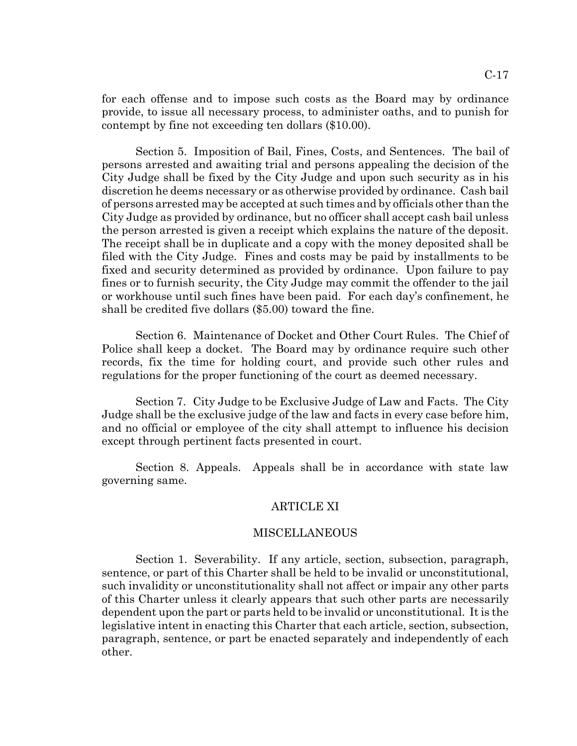for each offense and to impose such costs as the Board may by ordinance provide, to issue all necessary process, to administer oaths, and to punish for contempt by fine not exceeding ten dollars (\$10.00).

Section 5. Imposition of Bail, Fines, Costs, and Sentences. The bail of persons arrested and awaiting trial and persons appealing the decision of the City Judge shall be fixed by the City Judge and upon such security as in his discretion he deems necessary or as otherwise provided by ordinance. Cash bail of persons arrested may be accepted at such times and by officials other than the City Judge as provided by ordinance, but no officer shall accept cash bail unless the person arrested is given a receipt which explains the nature of the deposit. The receipt shall be in duplicate and a copy with the money deposited shall be filed with the City Judge. Fines and costs may be paid by installments to be fixed and security determined as provided by ordinance. Upon failure to pay fines or to furnish security, the City Judge may commit the offender to the jail or workhouse until such fines have been paid. For each day's confinement, he shall be credited five dollars (\$5.00) toward the fine.

Section 6. Maintenance of Docket and Other Court Rules. The Chief of Police shall keep a docket. The Board may by ordinance require such other records, fix the time for holding court, and provide such other rules and regulations for the proper functioning of the court as deemed necessary.

Section 7. City Judge to be Exclusive Judge of Law and Facts. The City Judge shall be the exclusive judge of the law and facts in every case before him, and no official or employee of the city shall attempt to influence his decision except through pertinent facts presented in court.

Section 8. Appeals. Appeals shall be in accordance with state law governing same.

#### ARTICLE XI

#### MISCELLANEOUS

Section 1. Severability. If any article, section, subsection, paragraph, sentence, or part of this Charter shall be held to be invalid or unconstitutional, such invalidity or unconstitutionality shall not affect or impair any other parts of this Charter unless it clearly appears that such other parts are necessarily dependent upon the part or parts held to be invalid or unconstitutional. It is the legislative intent in enacting this Charter that each article, section, subsection, paragraph, sentence, or part be enacted separately and independently of each other.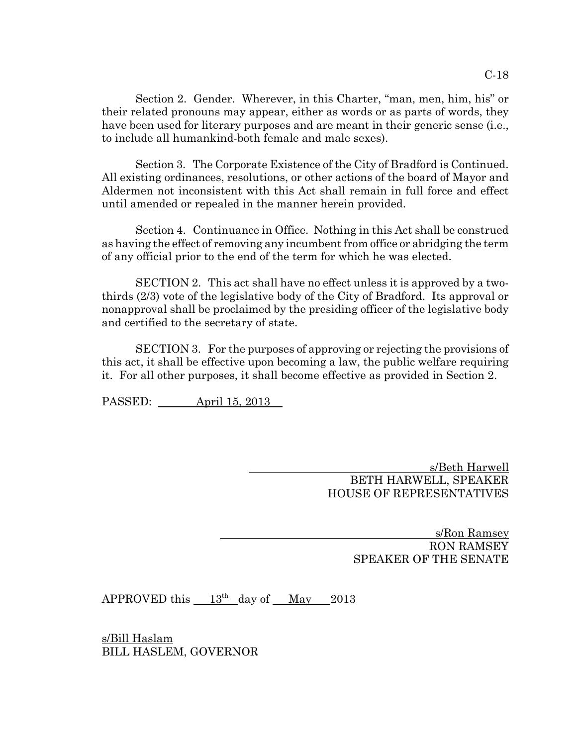Section 2. Gender. Wherever, in this Charter, "man, men, him, his" or their related pronouns may appear, either as words or as parts of words, they have been used for literary purposes and are meant in their generic sense (i.e., to include all humankind-both female and male sexes).

Section 3. The Corporate Existence of the City of Bradford is Continued. All existing ordinances, resolutions, or other actions of the board of Mayor and Aldermen not inconsistent with this Act shall remain in full force and effect until amended or repealed in the manner herein provided.

Section 4. Continuance in Office. Nothing in this Act shall be construed as having the effect of removing any incumbent from office or abridging the term of any official prior to the end of the term for which he was elected.

SECTION 2. This act shall have no effect unless it is approved by a twothirds (2/3) vote of the legislative body of the City of Bradford. Its approval or nonapproval shall be proclaimed by the presiding officer of the legislative body and certified to the secretary of state.

SECTION 3. For the purposes of approving or rejecting the provisions of this act, it shall be effective upon becoming a law, the public welfare requiring it. For all other purposes, it shall become effective as provided in Section 2.

PASSED: April 15, 2013

 s/Beth Harwell BETH HARWELL, SPEAKER HOUSE OF REPRESENTATIVES

> s/Ron Ramsey RON RAMSEY SPEAKER OF THE SENATE

APPROVED this  $13<sup>th</sup>$  day of May 2013

s/Bill Haslam BILL HASLEM, GOVERNOR